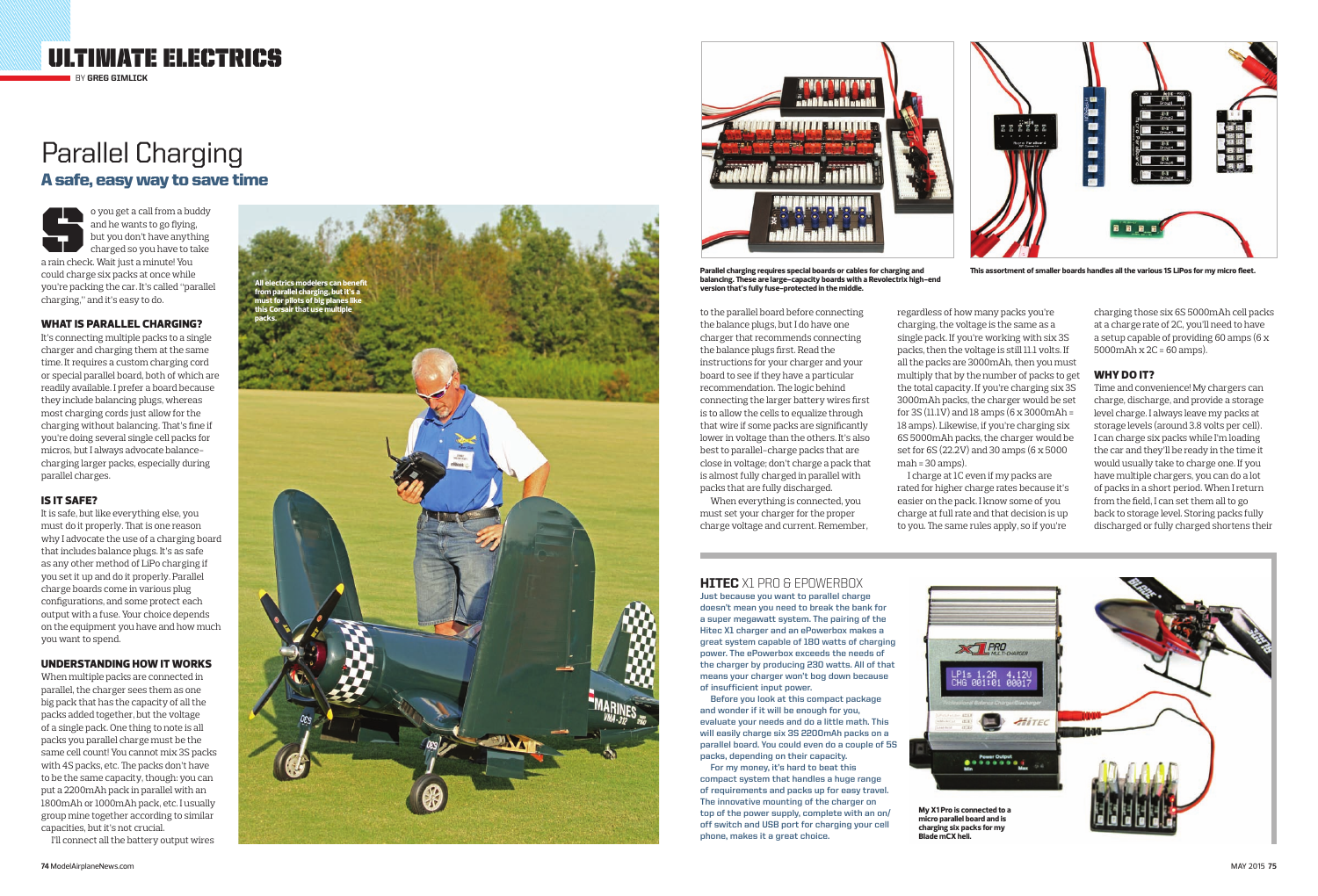to the parallel board before connecting the balance plugs, but I do have one charger that recommends connecting the balance plugs first. Read the instructions for your charger and your board to see if they have a particular recommendation. The logic behind connecting the larger battery wires first is to allow the cells to equalize through that wire if some packs are significantly lower in voltage than the others. It's also best to parallel-charge packs that are close in voltage; don't charge a pack that is almost fully charged in parallel with packs that are fully discharged.

When everything is connected, you must set your charger for the proper charge voltage and current. Remember,

regardless of how many packs you're charging, the voltage is the same as a single pack. If you're working with six 3S packs, then the voltage is still 11.1 volts. If all the packs are 3000mAh, then you must multiply that by the number of packs to get the total capacity. If you're charging six 3S 3000mAh packs, the charger would be set for 3S (11.1V) and 18 amps (6  $\times$  3000mAh = 18 amps). Likewise, if you're charging six 6S 5000mAh packs, the charger would be set for 6S (22.2V) and 30 amps (6 x 5000 mah = 30 amps).

I charge at 1C even if my packs are rated for higher charge rates because it's easier on the pack. I know some of you charge at full rate and that decision is up to you. The same rules apply, so if you're

## **HITEC** X1 PRO & EPOWERBOX

o you get a call from a buddy<br>and he wants to go flying,<br>but you don't have anything<br>charged so you have to take<br>a rain check Wait just a minutel You and he wants to go flying, but you don't have anything charged so you have to take a rain check. Wait just a minute! You could charge six packs at once while you're packing the car. It's called "parallel charging," and it's easy to do.

charging those six 6S 5000mAh cell packs at a charge rate of 2C, you'll need to have a setup capable of providing 60 amps (6 x 5000mAh x 2C = 60 amps).

#### WHY DO **IT?**

Time and convenience! My chargers can charge, discharge, and provide a storage level charge. I always leave my packs at storage levels (around 3.8 volts per cell). I can charge six packs while I'm loading the car and they'll be ready in the time it would usually take to charge one. If you have multiple chargers, you can do a lot of packs in a short period. When I return from the field, I can set them all to go back to storage level. Storing packs fully discharged or fully charged shortens their





**Parallel charging requires special boards or cables for charging and balancing. These are large-capacity boards with a Revolectrix high-end version that's fully fuse-protected in the middle.**





**This assortment of smaller boards handles all the various 1S LiPos for my micro fleet.**

# Parallel Charging A safe, easy way to save time

#### WHAT IS PARALLEL CHARGING?

It's connecting multiple packs to a single charger and charging them at the same time. It requires a custom charging cord or special parallel board, both of which are readily available. I prefer a board because they include balancing plugs, whereas most charging cords just allow for the charging without balancing. That's fine if you're doing several single cell packs for micros, but I always advocate balancecharging larger packs, especially during parallel charges.

#### IS IT SAFE?

It is safe, but like everything else, you must do it properly. That is one reason why I advocate the use of a charging board that includes balance plugs. It's as safe as any other method of LiPo charging if you set it up and do it properly. Parallel charge boards come in various plug configurations, and some protect each output with a fuse. Your choice depends on the equipment you have and how much you want to spend.

#### UNDERSTANDING HOW IT WORKS

When multiple packs are connected in parallel, the charger sees them as one big pack that has the capacity of all the packs added together, but the voltage of a single pack. One thing to note is all packs you parallel charge must be the same cell count! You cannot mix 3S packs with 4S packs, etc. The packs don't have to be the same capacity, though: you can put a 2200mAh pack in parallel with an 1800mAh or 1000mAh pack, etc. I usually group mine together according to similar capacities, but it's not crucial.

I'll connect all the battery output wires

**Just because you want to parallel charge doesn't mean you need to break the bank for a super megawatt system. The pairing of the Hitec X1 charger and an ePowerbox makes a great system capable of 180 watts of charging power. The ePowerbox exceeds the needs of the charger by producing 230 watts. All of that means your charger won't bog down because of insufficient input power.**

**Before you look at this compact package and wonder if it will be enough for you, evaluate your needs and do a little math. This will easily charge six 3S 2200mAh packs on a parallel board. You could even do a couple of 5S packs, depending on their capacity.** 

**For my money, it's hard to beat this compact system that handles a huge range of requirements and packs up for easy travel. The innovative mounting of the charger on top of the power supply, complete with an on/ off switch and USB port for charging your cell phone, makes it a great choice.**